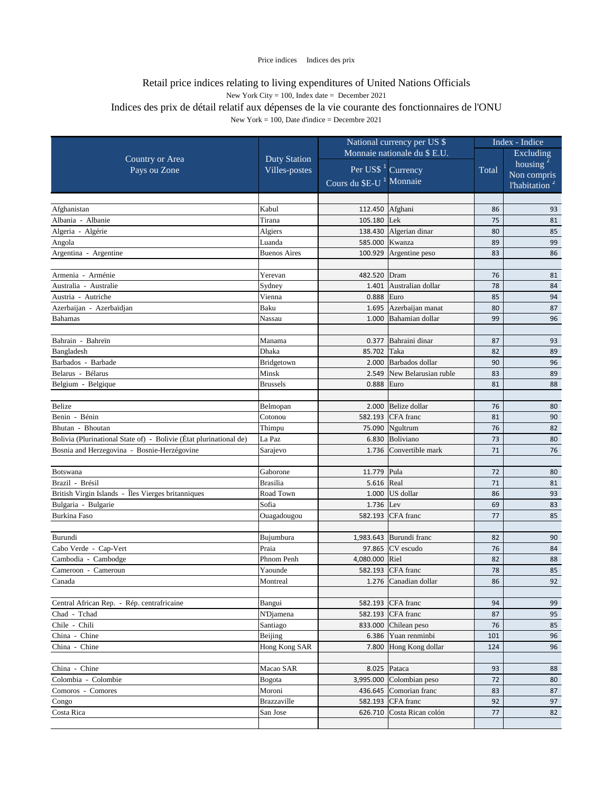|                                                                    |                     | National currency per US \$         |                            | Index - Indice |                           |
|--------------------------------------------------------------------|---------------------|-------------------------------------|----------------------------|----------------|---------------------------|
|                                                                    |                     | Monnaie nationale du \$ E.U.        |                            | Excluding      |                           |
| <b>Country or Area</b>                                             | <b>Duty Station</b> | Per US\$ <sup>1</sup> Currency      |                            |                | housing $2$               |
| Pays ou Zone                                                       | Villes-postes       |                                     |                            | Total          | Non compris               |
|                                                                    |                     | Cours du \$E-U <sup>1</sup> Monnaie |                            |                | l'habitation <sup>2</sup> |
|                                                                    |                     |                                     |                            |                |                           |
| Afghanistan                                                        | Kabul               | 112.450 Afghani                     |                            | 86             | 93                        |
| Albania - Albanie                                                  | Tirana              | 105.180 Lek                         |                            | 75             | 81                        |
| Algeria - Algérie                                                  | Algiers             | 138.430                             | Algerian dinar             | 80             | 85                        |
| Angola                                                             | Luanda              | 585.000                             | Kwanza                     | 89             | 99                        |
| Argentina - Argentine                                              | <b>Buenos Aires</b> | 100.929                             | Argentine peso             | 83             | 86                        |
|                                                                    |                     |                                     |                            |                |                           |
| Armenia - Arménie                                                  | Yerevan             | 482.520                             | Dram                       | 76             | 81                        |
| Australia - Australie                                              | Sydney              | 1.401                               | Australian dollar          | 78             | 84                        |
| Austria - Autriche                                                 | Vienna              | 0.888                               | Euro                       | 85             | 94                        |
| Azerbaijan - Azerbaïdjan                                           | Baku                | 1.695                               | Azerbaijan manat           | 80             | 87                        |
| <b>Bahamas</b>                                                     | Nassau              | 1.000                               | Bahamian dollar            | 99             | 96                        |
| Bahrain - Bahreïn                                                  |                     | 0.377                               | Bahraini dinar             | 87             | 93                        |
|                                                                    | Manama<br>Dhaka     |                                     | Taka                       |                |                           |
| Bangladesh<br>Barbados - Barbade                                   |                     | 85.702<br>2.000                     | Barbados dollar            | 82<br>90       | 89<br>96                  |
| Belarus - Bélarus                                                  | Bridgetown<br>Minsk | 2.549                               | New Belarusian ruble       | 83             | 89                        |
|                                                                    | <b>Brussels</b>     | 0.888                               | Euro                       | 81             |                           |
| Belgium - Belgique                                                 |                     |                                     |                            |                | 88                        |
| <b>Belize</b>                                                      | Belmopan            | 2.000                               | Belize dollar              | 76             | 80                        |
| Benin - Bénin                                                      | Cotonou             | 582.193                             | CFA franc                  | 81             |                           |
| Bhutan - Bhoutan                                                   | Thimpu              |                                     | 75.090 Ngultrum            | 76             | 90<br>82                  |
| Bolivia (Plurinational State of) - Bolivie (État plurinational de) | La Paz              | 6.830                               | Boliviano                  | 73             | 80                        |
| Bosnia and Herzegovina - Bosnie-Herzégovine                        | Sarajevo            | 1.736                               | Convertible mark           | 71             | 76                        |
|                                                                    |                     |                                     |                            |                |                           |
| Botswana                                                           | Gaborone            | 11.779 Pula                         |                            | 72             | 80                        |
| Brazil - Brésil                                                    | <b>Brasilia</b>     | 5.616 Real                          |                            | 71             | 81                        |
| British Virgin Islands - Îles Vierges britanniques                 | Road Town           |                                     | $1.000$ US dollar          | 86             | 93                        |
| Bulgaria - Bulgarie                                                | Sofia               | $1.736$ Lev                         |                            | 69             | 83                        |
| Burkina Faso                                                       | Ouagadougou         |                                     | 582.193 CFA franc          | 77             | 85                        |
|                                                                    |                     |                                     |                            |                |                           |
| Burundi                                                            | Bujumbura           |                                     | 1,983.643 Burundi franc    | 82             | 90                        |
| Cabo Verde - Cap-Vert                                              | Praia               |                                     | 97.865 $CV$ escudo         | 76             | 84                        |
| Cambodia - Cambodge                                                | Phnom Penh          | 4,080.000 Riel                      |                            | 82             | 88                        |
| Cameroon - Cameroun                                                | Yaounde             |                                     | 582.193 CFA franc          | 78             | 85                        |
| Canada                                                             | Montreal            | 1.276                               | Canadian dollar            | 86             | 92                        |
|                                                                    |                     |                                     |                            |                |                           |
| Central African Rep. - Rép. centrafricaine                         | Bangui              |                                     | 582.193 CFA franc          | 94             | 99                        |
| Chad - Tchad                                                       | <b>N'Djamena</b>    |                                     | 582.193 CFA franc          | 87             | 95                        |
| Chile - Chili                                                      | Santiago            | 833.000                             | Chilean peso               | 76             | 85                        |
| China - Chine                                                      | Beijing             | 6.386                               | Yuan renminbi              | 101            | 96                        |
| China - Chine                                                      | Hong Kong SAR       |                                     | 7.800 Hong Kong dollar     | 124            | 96                        |
|                                                                    |                     |                                     |                            |                |                           |
| China - Chine                                                      | Macao SAR           |                                     | 8.025 Pataca               | 93             | 88                        |
| Colombia - Colombie                                                | <b>Bogota</b>       |                                     | $3,995.000$ Colombian peso | 72             | 80                        |
| Comoros - Comores                                                  | Moroni              | 436.645                             | Comorian franc             | 83             | 87                        |
| Congo                                                              | <b>Brazzaville</b>  |                                     | 582.193 CFA franc          | 92             | 97                        |
| Costa Rica                                                         | San Jose            |                                     | 626.710 Costa Rican colón  | 77             | 82                        |
|                                                                    |                     |                                     |                            |                |                           |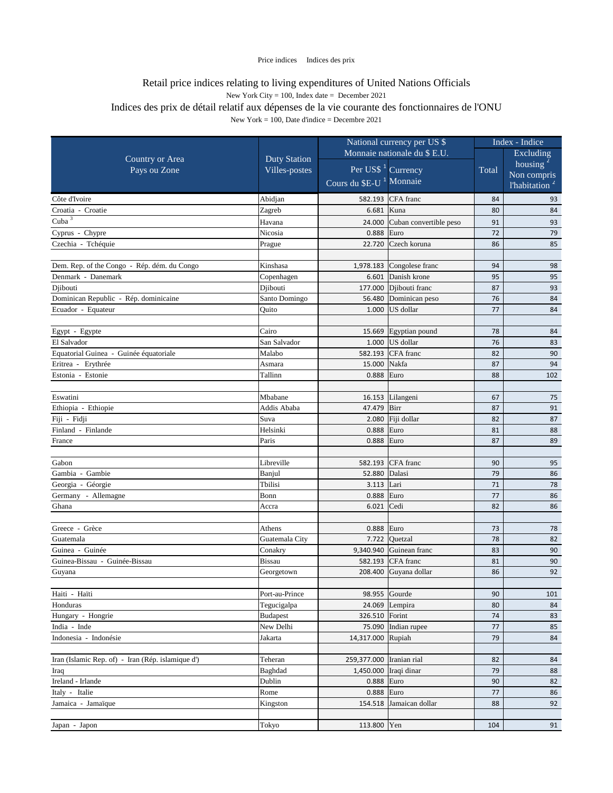|                                                   |                              | National currency per US \$         |                                   | Index - Indice |                           |
|---------------------------------------------------|------------------------------|-------------------------------------|-----------------------------------|----------------|---------------------------|
|                                                   | Monnaie nationale du \$ E.U. |                                     |                                   | Excluding      |                           |
| <b>Country or Area</b>                            | <b>Duty Station</b>          |                                     |                                   |                | housing $2$               |
| Pays ou Zone                                      | Villes-postes                | Per US\$ <sup>1</sup> Currency      |                                   | Total          | Non compris               |
|                                                   |                              | Cours du \$E-U <sup>1</sup> Monnaie |                                   |                | l'habitation <sup>2</sup> |
| Côte d'Ivoire                                     | Abidjan                      |                                     | 582.193 CFA franc                 | 84             | 93                        |
| Croatia - Croatie                                 | Zagreb                       | 6.681 Kuna                          |                                   | 80             | 84                        |
| $Cuba^3$                                          | Havana                       | 24.000                              | Cuban convertible peso            | 91             | 93                        |
| Cyprus - Chypre                                   | Nicosia                      | $0.888$ Euro                        |                                   | 72             | 79                        |
| Czechia - Tchéquie                                | Prague                       | 22.720                              | Czech koruna                      | 86             | 85                        |
|                                                   |                              |                                     |                                   |                |                           |
| Dem. Rep. of the Congo - Rép. dém. du Congo       | Kinshasa                     |                                     | 1,978.183 $\vert$ Congolese franc | 94             | 98                        |
| Denmark - Danemark                                | Copenhagen                   |                                     | 6.601 Danish krone                | 95             | 95                        |
| Djibouti                                          | Djibouti                     |                                     | 177.000 Dibouti franc             | 87             | 93                        |
| Dominican Republic - Rép. dominicaine             | Santo Domingo                | 56.480                              | Dominican peso                    | 76             | 84                        |
| Ecuador - Equateur                                | Quito                        |                                     | $1.000$ US dollar                 | 77             | 84                        |
|                                                   |                              |                                     |                                   |                |                           |
| Egypt - Egypte                                    | Cairo                        |                                     | 15.669 Egyptian pound             | 78             | 84                        |
| El Salvador                                       | San Salvador                 |                                     | 1.000 $\big $ US dollar           | 76             | 83                        |
| Equatorial Guinea - Guinée équatoriale            | Malabo                       |                                     | 582.193 CFA franc                 | 82             | 90                        |
| Eritrea - Erythrée                                | Asmara                       | 15.000 Nakfa                        |                                   | 87             | 94                        |
| Estonia - Estonie                                 | Tallinn                      | 0.888                               | Euro                              | 88             | 102                       |
|                                                   |                              |                                     |                                   |                |                           |
| Eswatini                                          | Mbabane                      |                                     | 16.153 Lilangeni                  | 67             | 75                        |
| Ethiopia - Ethiopie                               | Addis Ababa                  | 47.479 Birr                         |                                   | 87             | 91                        |
| Fiji - Fidji                                      | Suva                         |                                     | 2.080 Fiji dollar                 | 82             | 87                        |
| Finland - Finlande                                | Helsinki                     | 0.888 Euro                          |                                   | 81             | 88                        |
| France                                            | Paris                        | $0.888$ Euro                        |                                   | 87             | 89                        |
|                                                   |                              |                                     |                                   |                |                           |
| Gabon                                             | Libreville                   |                                     | 582.193 CFA franc                 | 90             | 95                        |
| Gambia - Gambie                                   | Banjul                       | 52.880 Dalasi                       |                                   | 79             | 86                        |
| Georgia - Géorgie                                 | Tbilisi                      | 3.113 Lari                          |                                   | 71             | 78                        |
| Germany - Allemagne                               | Bonn                         | 0.888 Euro                          |                                   | 77             | 86                        |
| Ghana                                             | Accra                        | $6.021$ Cedi                        |                                   | 82             | 86                        |
|                                                   |                              |                                     |                                   |                |                           |
| Greece - Grèce                                    | Athens                       | 0.888 Euro                          |                                   | 73             | 78                        |
| Guatemala                                         | Guatemala City               |                                     | 7.722 $Quetzal$                   | 78             | 82                        |
| Guinea - Guinée                                   | Conakry                      |                                     | 9,340.940 Guinean franc           | 83             | 90                        |
| Guinea-Bissau - Guinée-Bissau                     | <b>Bissau</b>                |                                     | 582.193 CFA franc                 | 81             | 90                        |
| Guyana                                            | Georgetown                   |                                     | 208.400 Guyana dollar             | 86             | 92                        |
|                                                   |                              |                                     |                                   |                |                           |
| Haiti - Haïti                                     | Port-au-Prince               |                                     | 98.955 Gourde                     | 90             | 101                       |
| Honduras                                          | Tegucigalpa                  |                                     | 24.069   Lempira                  | 80             | 84                        |
| Hungary - Hongrie                                 | <b>Budapest</b>              | 326.510 Forint                      |                                   | 74             | 83                        |
| India - Inde                                      | New Delhi                    |                                     | 75.090 Indian rupee               | 77             | 85                        |
| Indonesia - Indonésie                             | Jakarta                      | 14,317.000 Rupiah                   |                                   | 79             | 84                        |
|                                                   |                              |                                     |                                   |                |                           |
| Iran (Islamic Rep. of) - Iran (Rép. islamique d') | Teheran                      | 259,377.000 Tranian rial            |                                   | 82             | 84                        |
| Iraq                                              | Baghdad                      | 1,450.000   Iraqi dinar             |                                   | 79             | 88                        |
| Ireland - Irlande                                 | Dublin                       | 0.888 Euro                          |                                   | 90             | 82                        |
| Italy - Italie                                    | Rome                         | $0.888$ Euro                        |                                   | 77             | 86                        |
| Jamaica - Jamaïque                                | Kingston                     |                                     | 154.518 Jamaican dollar           | 88             | 92                        |
|                                                   |                              |                                     |                                   |                |                           |
| Japan - Japon                                     | Tokyo                        | 113.800 Yen                         |                                   | 104            | 91                        |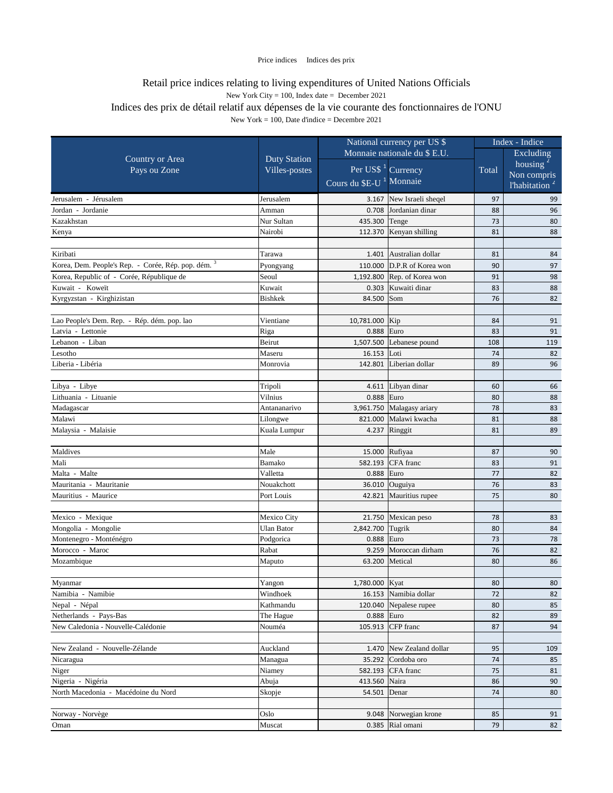|                                                     |                     | National currency per US \$         |                                          | Index - Indice |                           |
|-----------------------------------------------------|---------------------|-------------------------------------|------------------------------------------|----------------|---------------------------|
|                                                     |                     |                                     | Monnaie nationale du \$ E.U.             |                | <b>Excluding</b>          |
| <b>Country or Area</b>                              | <b>Duty Station</b> |                                     | Per US\$ <sup>1</sup> Currency           | Total          | housing $2$               |
| Pays ou Zone                                        | Villes-postes       |                                     |                                          |                | Non compris               |
|                                                     |                     | Cours du \$E-U <sup>1</sup> Monnaie |                                          |                | l'habitation <sup>2</sup> |
| Jerusalem - Jérusalem                               | Jerusalem           |                                     | 3.167 New Israeli sheqel                 | 97             | 99                        |
| Jordan - Jordanie                                   | Amman               | 0.708                               | Jordanian dinar                          | 88             | 96                        |
| Kazakhstan                                          | Nur Sultan          | 435.300                             | Tenge                                    | 73             | 80                        |
| Kenya                                               | Nairobi             | 112.370                             | Kenyan shilling                          | 81             | 88                        |
|                                                     |                     |                                     |                                          |                |                           |
| Kiribati                                            | Tarawa              |                                     | 1.401 Australian dollar                  | 81             | 84                        |
| Korea, Dem. People's Rep. - Corée, Rép. pop. dém. 3 | Pyongyang           | 110.000                             | D.P.R of Korea won                       | 90             | 97                        |
| Korea, Republic of - Corée, République de           | Seoul               |                                     | 1,192.800 Rep. of Korea won              | 91             | 98                        |
| Kuwait - Koweït                                     | Kuwait              | 0.303                               | Kuwaiti dinar                            | 83             | 88                        |
| Kyrgyzstan - Kirghizistan                           | Bishkek             | 84.500                              | Som                                      | 76             | 82                        |
|                                                     |                     |                                     |                                          |                |                           |
| Lao People's Dem. Rep. - Rép. dém. pop. lao         | Vientiane           | 10,781.000 Kip                      |                                          | 84             | 91                        |
| Latvia - Lettonie                                   | Riga                | 0.888                               | Euro                                     | 83             | 91                        |
| Lebanon - Liban<br>Lesotho                          | Beirut              | 1,507.500                           | Lebanese pound                           | 108            | 119                       |
| Liberia - Libéria                                   | Maseru              | 16.153                              | Loti<br>Liberian dollar                  | 74             | 82<br>96                  |
|                                                     | Monrovia            | 142.801                             |                                          | 89             |                           |
| Libya - Libye                                       | Tripoli             | 4.611                               | Libyan dinar                             | 60             | 66                        |
| Lithuania - Lituanie                                | Vilnius             | 0.888                               | Euro                                     | 80             | 88                        |
| Madagascar                                          | Antananarivo        |                                     | 3,961.750 Malagasy ariary                | 78             | 83                        |
| Malawi                                              | Lilongwe            | 821.000                             | Malawi kwacha                            | 81             | 88                        |
| Malaysia - Malaisie                                 | Kuala Lumpur        |                                     | 4.237 $\left $ Ringgit                   | 81             | 89                        |
|                                                     |                     |                                     |                                          |                |                           |
| Maldives                                            | Male                | 15.000                              | Rufiyaa                                  | 87             | 90                        |
| Mali                                                | Bamako              |                                     | 582.193 CFA franc                        | 83             | 91                        |
| Malta - Malte                                       | Valletta            | $0.888$ Euro                        |                                          | 77             | 82                        |
| Mauritania - Mauritanie                             | Nouakchott          |                                     | 36.010 Ouguiya                           | 76             | 83                        |
| Mauritius - Maurice                                 | Port Louis          |                                     | 42.821 Mauritius rupee                   | 75             | 80                        |
|                                                     |                     |                                     |                                          |                |                           |
| Mexico - Mexique                                    | Mexico City         |                                     | 21.750 Mexican peso                      | 78             | 83                        |
| Mongolia - Mongolie                                 | <b>Ulan Bator</b>   | 2,842.700                           | Tugrik                                   | 80             | 84                        |
| Montenegro - Monténégro                             | Podgorica           | 0.888 Euro                          |                                          | 73             | 78                        |
| Morocco - Maroc                                     | Rabat               | 9.259                               | Moroccan dirham                          | 76             | 82                        |
| Mozambique                                          | Maputo              | 63.200                              | Metical                                  | 80             | 86                        |
|                                                     |                     |                                     |                                          |                |                           |
| Myanmar                                             | Yangon              | 1,780.000 Kyat                      |                                          | 80             | 80                        |
| Namibia - Namibie                                   | Windhoek            |                                     | 16.153 Namibia dollar                    | 72             | 82                        |
| Nepal - Népal                                       | Kathmandu           | 120.040                             | Nepalese rupee                           | 80             | 85                        |
| Netherlands - Pays-Bas                              | The Hague           | 0.888 Euro                          |                                          | 82             | 89                        |
| New Caledonia - Nouvelle-Calédonie                  | Nouméa              |                                     | 105.913 CFP franc                        | 87             | 94                        |
|                                                     |                     |                                     |                                          |                |                           |
| New Zealand - Nouvelle-Zélande<br>Nicaragua         | Auckland<br>Managua | 1.470                               | New Zealand dollar<br>35.292 Cordoba oro | 95<br>74       | 109<br>85                 |
| Niger                                               | Niamey              |                                     | 582.193 CFA franc                        | 75             | 81                        |
| Nigeria - Nigéria                                   | Abuja               | 413.560                             | Naira                                    | 86             | 90                        |
| North Macedonia - Macédoine du Nord                 | Skopje              | 54.501                              | Denar                                    | 74             | 80                        |
|                                                     |                     |                                     |                                          |                |                           |
| Norway - Norvège                                    | Oslo                |                                     | 9.048 Norwegian krone                    | 85             | 91                        |
| Oman                                                | Muscat              |                                     | 0.385 Rial omani                         | 79             | 82                        |
|                                                     |                     |                                     |                                          |                |                           |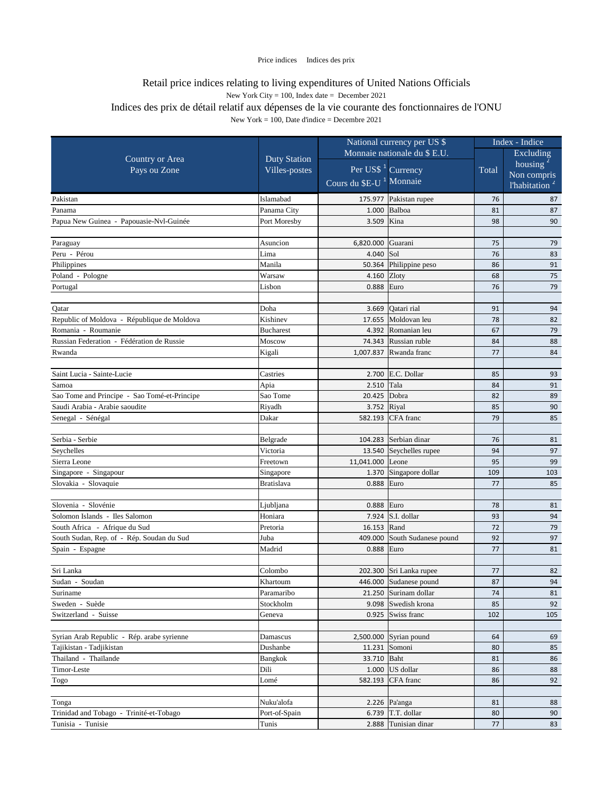|                                              |                     | National currency per US \$         |                                     | Index - Indice |                           |
|----------------------------------------------|---------------------|-------------------------------------|-------------------------------------|----------------|---------------------------|
| <b>Country or Area</b>                       |                     | Monnaie nationale du \$ E.U.        |                                     |                | Excluding                 |
|                                              | <b>Duty Station</b> |                                     |                                     |                | housing $2$               |
| Pays ou Zone                                 | Villes-postes       |                                     | Per US\$ <sup>1</sup> Currency      | Total          | Non compris               |
|                                              |                     | Cours du \$E-U <sup>1</sup> Monnaie |                                     |                | l'habitation <sup>2</sup> |
| Pakistan                                     | Islamabad           |                                     | 175.977 Pakistan rupee              | 76             | 87                        |
| Panama                                       | Panama City         | 1.000                               | Balboa                              | 81             | 87                        |
| Papua New Guinea - Papouasie-Nvl-Guinée      | Port Moresby        | 3.509                               | Kina                                | 98             | 90                        |
|                                              |                     |                                     |                                     |                |                           |
| Paraguay                                     | Asuncion            | 6,820.000                           | Guarani                             | 75             | 79                        |
| Peru - Pérou                                 | Lima                | 4.040                               | Sol                                 | 76             | 83                        |
| Philippines                                  | Manila              |                                     | 50.364 Philippine peso              | 86             | 91                        |
| Poland - Pologne                             | Warsaw              | 4.160 Zloty                         |                                     | 68             | 75                        |
| Portugal                                     | Lisbon              | 0.888                               | Euro                                | 76             | 79                        |
|                                              |                     |                                     |                                     |                |                           |
| Qatar                                        | Doha                |                                     | 3.669 Qatari rial                   | 91             | 94                        |
| Republic of Moldova - République de Moldova  | Kishinev            | 17.655                              | Moldovan leu                        | 78             | 82                        |
| Romania - Roumanie                           | <b>Bucharest</b>    | 4.392                               | Romanian leu                        | 67             | 79                        |
| Russian Federation - Fédération de Russie    | Moscow              | 74.343                              | Russian ruble                       | 84             | 88                        |
| Rwanda                                       | Kigali              |                                     | 1,007.837 Rwanda franc              | 77             | 84                        |
|                                              |                     |                                     |                                     |                |                           |
| Saint Lucia - Sainte-Lucie                   | Castries            |                                     | 2.700 E.C. Dollar                   | 85             | 93                        |
| Samoa                                        | Apia                | 2.510                               | Tala                                | 84             | 91                        |
| Sao Tome and Principe - Sao Tomé-et-Principe | Sao Tome            | 20.425 Dobra                        |                                     | 82             | 89                        |
| Saudi Arabia - Arabie saoudite               | Riyadh              | 3.752 Riyal                         |                                     | 85             | 90                        |
| Senegal - Sénégal                            | Dakar               |                                     | 582.193 CFA franc                   | 79             | 85                        |
| Serbia - Serbie                              | Belgrade            |                                     | 104.283 Serbian dinar               | 76             | 81                        |
| Seychelles                                   | Victoria            |                                     | 13.540 Seychelles rupee             | 94             | 97                        |
| Sierra Leone                                 | Freetown            | 11,041.000 Leone                    |                                     | 95             | 99                        |
| Singapore - Singapour                        | Singapore           |                                     | $\overline{1.370}$ Singapore dollar | 109            | 103                       |
| Slovakia - Slovaquie                         | Bratislava          | $0.888$ Euro                        |                                     | 77             | 85                        |
|                                              |                     |                                     |                                     |                |                           |
| Slovenia - Slovénie                          | Ljubljana           | $0.888$ Euro                        |                                     | 78             | 81                        |
| Solomon Islands - Iles Salomon               | Honiara             |                                     | 7.924 $\vert$ S.I. dollar           | 93             | 94                        |
| South Africa - Afrique du Sud                | Pretoria            | 16.153 Rand                         |                                     | 72             | 79                        |
| South Sudan, Rep. of - Rép. Soudan du Sud    | Juba                |                                     | 409.000 South Sudanese pound        | 92             | 97                        |
| Spain - Espagne                              | Madrid              | $0.888$ Euro                        |                                     | 77             | 81                        |
|                                              |                     |                                     |                                     |                |                           |
| Sri Lanka                                    | Colombo             |                                     | 202.300 Sri Lanka rupee             | 77             | 82                        |
| Sudan - Soudan                               | Khartoum            |                                     | 446.000 Sudanese pound              | 87             | 94                        |
| Suriname                                     | Paramaribo          |                                     | 21.250 Surinam dollar               | 74             | 81                        |
| Sweden - Suède                               | Stockholm           |                                     | 9.098 Swedish krona                 | 85             | 92                        |
| Switzerland - Suisse                         | Geneva              |                                     | 0.925 Swiss franc                   | 102            | 105                       |
|                                              |                     |                                     |                                     |                |                           |
| Syrian Arab Republic - Rép. arabe syrienne   | Damascus            |                                     | $2,500.000$ Syrian pound            | 64             | 69                        |
| Tajikistan - Tadjikistan                     | Dushanbe            |                                     | 11.231 Somoni                       | 80             | 85                        |
| Thailand - Thaïlande                         | <b>Bangkok</b>      | 33.710 Baht                         |                                     | 81             | 86                        |
| Timor-Leste                                  | Dili                |                                     | $1.000$ US dollar                   | 86             | 88                        |
| Togo                                         | Lomé                |                                     | 582.193 CFA franc                   | 86             | 92                        |
|                                              |                     |                                     |                                     |                |                           |
| Tonga                                        | Nuku'alofa          |                                     | 2.226 $\sqrt{Pa^2n}$                | 81             | 88                        |
| Trinidad and Tobago - Trinité-et-Tobago      | Port-of-Spain       |                                     | 6.739 $\vert$ T.T. dollar           | 80             | 90                        |
| Tunisia - Tunisie                            | Tunis               |                                     | 2.888 Tunisian dinar                | 77             | 83                        |